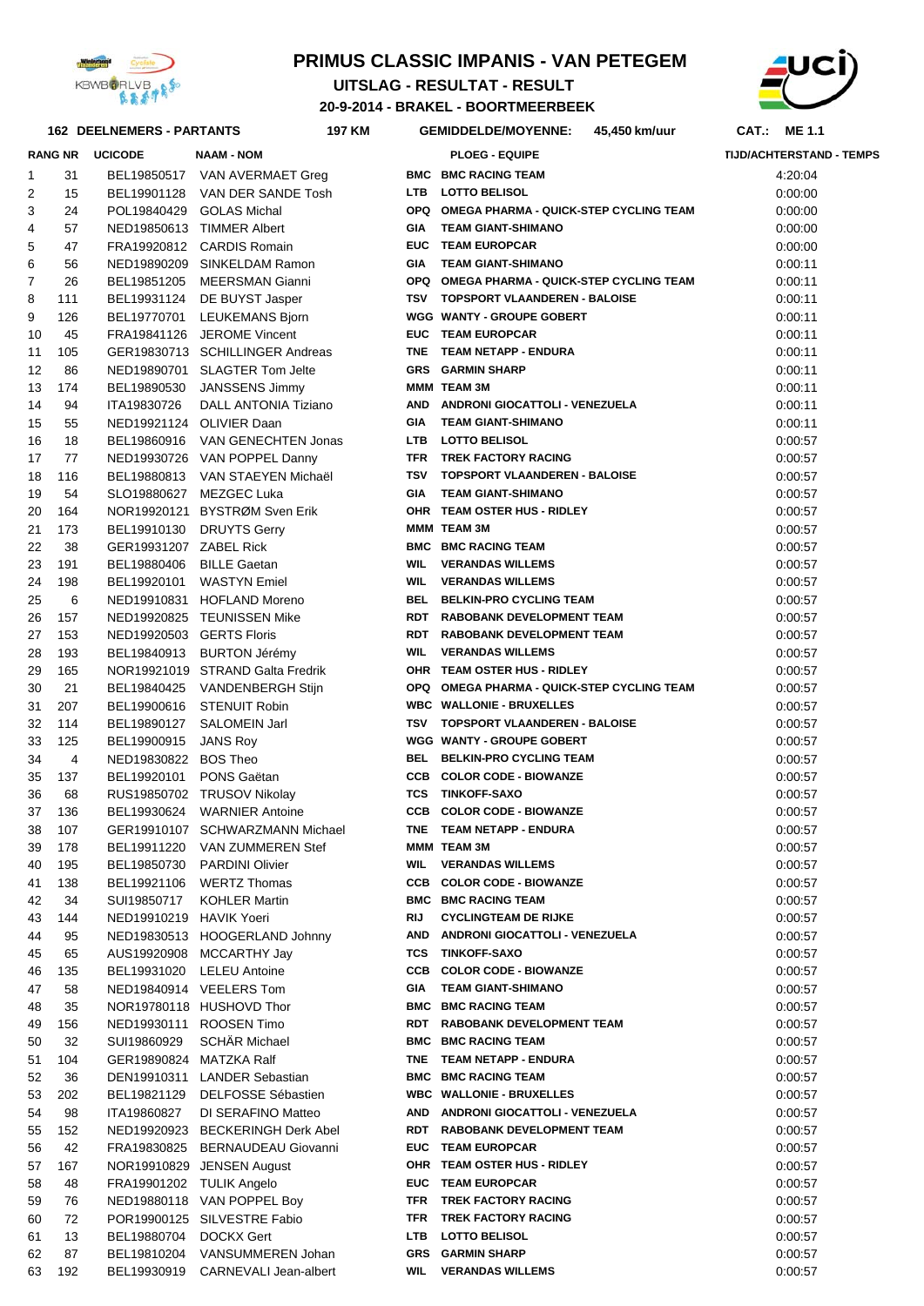

#### **PRIMUS CLASSIC IMPANIS - VAN PETEGEM**

**20-9-2014 - BRAKEL - BOORTMEERBEEK UITSLAG - RESULTAT - RESULT** 



#### **162 DEELNEMERS - PARTANTS 197 CAT.: ME 1.1 KM GEMIDDELDE/MOYENNE: 45,450 km/uur**

|                     | <b>RANG NR</b> | <b>UCICODE</b>                         | NAAM - NOM                                                 |     | <b>PLOEG - EQUIPE</b>                                                   | <b>TIJD/ACHTERSTA</b> |
|---------------------|----------------|----------------------------------------|------------------------------------------------------------|-----|-------------------------------------------------------------------------|-----------------------|
| 1                   | 31             |                                        | BEL19850517 VAN AVERMAET Greg                              |     | <b>BMC BMC RACING TEAM</b>                                              | 4:20:04               |
| 2                   | 15             |                                        | BEL19901128 VAN DER SANDE Tosh                             | LTB | <b>LOTTO BELISOL</b>                                                    | 0:00:00               |
| 3                   | 24             | POL19840429                            | <b>GOLAS Michal</b>                                        |     | OPQ OMEGA PHARMA - QUICK-STEP CYCLING TEAM                              | 0:00:00               |
| 4                   | 57             |                                        | NED19850613 TIMMER Albert                                  | GIA | <b>TEAM GIANT-SHIMANO</b>                                               | 0:00:00               |
| 5                   | 47             |                                        | FRA19920812 CARDIS Romain                                  |     | EUC TEAM EUROPCAR                                                       | 0.00:00               |
| 6<br>$\overline{7}$ | 56<br>26       |                                        | NED19890209 SINKELDAM Ramon<br>BEL19851205 MEERSMAN Gianni | GIA | <b>TEAM GIANT-SHIMANO</b><br>OPQ OMEGA PHARMA - QUICK-STEP CYCLING TEAM | 0.00:11<br>0:00:11    |
| 8                   | 111            |                                        | BEL19931124 DE BUYST Jasper                                |     | TSV TOPSPORT VLAANDEREN - BALOISE                                       | 0:00:11               |
| 9                   | 126            | BEL19770701                            | <b>LEUKEMANS Bjorn</b>                                     |     | <b>WGG WANTY - GROUPE GOBERT</b>                                        | 0:00:11               |
| 10                  | 45             |                                        | FRA19841126 JEROME Vincent                                 |     | EUC TEAM EUROPCAR                                                       | 0:00:11               |
| 11                  | 105            |                                        | GER19830713 SCHILLINGER Andreas                            |     | TNE TEAM NETAPP - ENDURA                                                | 0:00:11               |
| 12                  | 86             |                                        | NED19890701 SLAGTER Tom Jelte                              |     | <b>GRS GARMIN SHARP</b>                                                 | 0:00:11               |
| 13                  | 174            | BEL19890530                            | <b>JANSSENS Jimmy</b>                                      |     | MMM TEAM 3M                                                             | 0:00:11               |
| 14                  | 94             | ITA19830726                            | DALL ANTONIA Tiziano                                       |     | AND ANDRONI GIOCATTOLI - VENEZUELA                                      | 0:00:11               |
| 15                  | 55             |                                        | NED19921124 OLIVIER Daan                                   | GIA | <b>TEAM GIANT-SHIMANO</b>                                               | 0.00:11               |
| 16                  | 18             |                                        | BEL19860916 VAN GENECHTEN Jonas                            |     | LTB LOTTO BELISOL                                                       | 0:00:57               |
| 17                  | 77             |                                        | NED19930726 VAN POPPEL Danny                               |     | TFR TREK FACTORY RACING                                                 | 0:00:57               |
| 18                  | 116            |                                        | BEL19880813 VAN STAEYEN Michaël                            |     | TSV TOPSPORT VLAANDEREN - BALOISE                                       | 0:00:57               |
| 19                  | 54             |                                        | SLO19880627 MEZGEC Luka                                    | GIA | <b>TEAM GIANT-SHIMANO</b>                                               | 0:00:57               |
| 20                  | 164            |                                        | NOR19920121 BYSTRØM Sven Erik                              |     | OHR TEAM OSTER HUS - RIDLEY                                             | 0:00:57               |
| 21                  | 173            | BEL19910130                            | <b>DRUYTS Gerry</b>                                        |     | MMM TEAM 3M                                                             | 0:00:57               |
| 22                  | 38             | GER19931207 ZABEL Rick                 |                                                            |     | <b>BMC BMC RACING TEAM</b>                                              | 0:00:57               |
| 23                  | 191            | BEL19880406                            | <b>BILLE Gaetan</b>                                        | WIL | <b>VERANDAS WILLEMS</b>                                                 | 0:00:57               |
| 24                  | 198            |                                        | BEL19920101 WASTYN Emiel                                   | WIL | <b>VERANDAS WILLEMS</b>                                                 | 0:00:57               |
| 25                  | 6              |                                        | NED19910831 HOFLAND Moreno                                 |     | BEL BELKIN-PRO CYCLING TEAM                                             | 0:00:57               |
| 26                  | 157            |                                        | NED19920825 TEUNISSEN Mike                                 |     | RDT RABOBANK DEVELOPMENT TEAM                                           | 0:00:57               |
| 27<br>28            | 153<br>193     | NED19920503 GERTS Floris               | BEL19840913 BURTON Jérémy                                  | WIL | RDT RABOBANK DEVELOPMENT TEAM<br><b>VERANDAS WILLEMS</b>                | 0:00:57<br>0:00:57    |
| 29                  | 165            |                                        | NOR19921019 STRAND Galta Fredrik                           |     | OHR TEAM OSTER HUS - RIDLEY                                             | 0:00:57               |
| 30                  | 21             |                                        | BEL19840425 VANDENBERGH Stijn                              |     | OPQ OMEGA PHARMA - QUICK-STEP CYCLING TEAM                              | 0:00:57               |
| 31                  | 207            |                                        | BEL19900616 STENUIT Robin                                  |     | <b>WBC WALLONIE - BRUXELLES</b>                                         | 0:00:57               |
| 32                  | 114            | BEL19890127                            | SALOMEIN Jarl                                              | TSV | <b>TOPSPORT VLAANDEREN - BALOISE</b>                                    | 0:00:57               |
| 33                  | 125            | BEL19900915                            | <b>JANS Roy</b>                                            |     | <b>WGG WANTY - GROUPE GOBERT</b>                                        | 0:00:57               |
| 34                  | 4              | NED19830822 BOS Theo                   |                                                            |     | BEL BELKIN-PRO CYCLING TEAM                                             | 0:00:57               |
| 35                  | 137            | BEL19920101                            | PONS Gaëtan                                                |     | CCB COLOR CODE - BIOWANZE                                               | 0:00:57               |
| 36                  | 68             |                                        | RUS19850702 TRUSOV Nikolay                                 |     | <b>TCS TINKOFF-SAXO</b>                                                 | 0:00:57               |
| 37                  | 136            |                                        | BEL19930624 WARNIER Antoine                                |     | <b>CCB COLOR CODE - BIOWANZE</b>                                        | 0:00:57               |
| 38                  | 107            |                                        | GER19910107 SCHWARZMANN Michael                            |     | TNE TEAM NETAPP - ENDURA                                                | 0:00:57               |
|                     | 39 178         |                                        | BEL19911220 VAN ZUMMEREN Stef                              |     | MMM TEAM 3M                                                             | 0:00:57               |
| 40                  | 195            |                                        | BEL19850730 PARDINI Olivier                                |     | <b>WIL VERANDAS WILLEMS</b>                                             | 0:00:57               |
| 41                  | 138            |                                        | BEL19921106 WERTZ Thomas                                   |     | <b>CCB COLOR CODE - BIOWANZE</b>                                        | 0:00:57               |
| 42                  | 34             | SUI19850717                            | <b>KOHLER Martin</b>                                       |     | <b>BMC BMC RACING TEAM</b>                                              | 0:00:57               |
| 43                  | 144            | NED19910219 HAVIK Yoeri                |                                                            | RIJ | <b>CYCLINGTEAM DE RIJKE</b>                                             | 0:00:57               |
| 44                  | 95             |                                        | NED19830513 HOOGERLAND Johnny                              |     | AND ANDRONI GIOCATTOLI - VENEZUELA                                      | 0:00:57               |
| 45                  | 65             |                                        | AUS19920908 MCCARTHY Jay                                   |     | <b>TCS TINKOFF-SAXO</b>                                                 | 0:00:57               |
| 46                  | 135            |                                        | BEL19931020 LELEU Antoine                                  |     | <b>CCB COLOR CODE - BIOWANZE</b>                                        | 0:00:57               |
| 47                  | 58             |                                        | NED19840914 VEELERS Tom                                    | GIA | <b>TEAM GIANT-SHIMANO</b>                                               | 0:00:57               |
| 48                  | 35             |                                        | NOR19780118 HUSHOVD Thor                                   |     | <b>BMC BMC RACING TEAM</b><br>RDT RABOBANK DEVELOPMENT TEAM             | 0:00:57               |
| 49                  | 156            |                                        | NED19930111 ROOSEN Timo<br>SCHÄR Michael                   |     | <b>BMC BMC RACING TEAM</b>                                              | 0:00:57               |
| 50<br>51            | 32<br>104      | SUI19860929<br>GER19890824 MATZKA Ralf |                                                            |     | TNE TEAM NETAPP - ENDURA                                                | 0:00:57<br>0:00:57    |
| 52                  | 36             |                                        | DEN19910311 LANDER Sebastian                               |     | <b>BMC BMC RACING TEAM</b>                                              | 0:00:57               |
| 53                  | 202            | BEL19821129                            | DELFOSSE Sébastien                                         |     | <b>WBC WALLONIE - BRUXELLES</b>                                         | 0:00:57               |
| 54                  | 98             | ITA19860827                            | DI SERAFINO Matteo                                         |     | AND ANDRONI GIOCATTOLI - VENEZUELA                                      | 0:00:57               |
| 55                  | 152            |                                        | NED19920923 BECKERINGH Derk Abel                           |     | RDT RABOBANK DEVELOPMENT TEAM                                           | 0:00:57               |
| 56                  | 42             |                                        | FRA19830825 BERNAUDEAU Giovanni                            |     | EUC TEAM EUROPCAR                                                       | 0:00:57               |
| 57                  | 167            |                                        | NOR19910829 JENSEN August                                  |     | OHR TEAM OSTER HUS - RIDLEY                                             | 0:00:57               |
| 58                  | 48             | FRA19901202 TULIK Angelo               |                                                            |     | EUC TEAM EUROPCAR                                                       | 0:00:57               |
| 59                  | 76             |                                        | NED19880118 VAN POPPEL Boy                                 |     | TFR TREK FACTORY RACING                                                 | 0:00:57               |
| 60                  | 72             |                                        | POR19900125 SILVESTRE Fabio                                | TFR | TREK FACTORY RACING                                                     | 0:00:57               |
| 61                  | 13             | BEL19880704 DOCKX Gert                 |                                                            |     | LTB LOTTO BELISOL                                                       | 0:00:57               |
| 62                  | 87             |                                        | BEL19810204 VANSUMMEREN Johan                              |     | <b>GRS</b> GARMIN SHARP                                                 | 0:00:57               |
| 63                  | 192            |                                        | BEL19930919 CARNEVALI Jean-albert                          | WIL | <b>VERANDAS WILLEMS</b>                                                 | 0:00:57               |

|                |     | <b>RANG NR UCICODE</b>   | <b>NAAM - NOM</b>                |            | <b>PLOEG - EQUIPE</b>                      | <b>TIJD/ACHTERSTAND - TEMPS</b> |
|----------------|-----|--------------------------|----------------------------------|------------|--------------------------------------------|---------------------------------|
| 1              | 31  |                          | BEL19850517 VAN AVERMAET Greg    |            | <b>BMC BMC RACING TEAM</b>                 | 4:20:04                         |
| 2              | 15  |                          | BEL19901128 VAN DER SANDE Tosh   |            | LTB LOTTO BELISOL                          | 0:00:00                         |
| 3              | 24  |                          | POL19840429 GOLAS Michal         |            | OPQ OMEGA PHARMA - QUICK-STEP CYCLING TEAM | 0:00:00                         |
| 4              | 57  |                          | NED19850613 TIMMER Albert        | GIA        | <b>TEAM GIANT-SHIMANO</b>                  | 0:00:00                         |
| 5              | 47  |                          | FRA19920812 CARDIS Romain        |            | <b>EUC TEAM EUROPCAR</b>                   | 0:00:00                         |
| 6              | 56  |                          | NED19890209 SINKELDAM Ramon      |            | GIA TEAM GIANT-SHIMANO                     | 0:00:11                         |
| $\overline{7}$ | 26  |                          | BEL19851205 MEERSMAN Gianni      |            | OPQ OMEGA PHARMA - QUICK-STEP CYCLING TEAM | 0:00:11                         |
| 8              | 111 |                          | BEL19931124 DE BUYST Jasper      |            | TSV TOPSPORT VLAANDEREN - BALOISE          | 0:00:11                         |
| 9              | 126 |                          | BEL19770701 LEUKEMANS Bjorn      |            | <b>WGG WANTY - GROUPE GOBERT</b>           | 0:00:11                         |
| 10             | 45  |                          | FRA19841126 JEROME Vincent       |            | EUC TEAM EUROPCAR                          | 0:00:11                         |
| 11             | 105 |                          | GER19830713 SCHILLINGER Andreas  |            | TNE TEAM NETAPP - ENDURA                   | 0:00:11                         |
| 12             | 86  |                          | NED19890701 SLAGTER Tom Jelte    |            | <b>GRS GARMIN SHARP</b>                    | 0:00:11                         |
| 13             | 174 |                          | BEL19890530 JANSSENS Jimmy       |            | MMM TEAM 3M                                | 0:00:11                         |
| 14             | 94  |                          | ITA19830726 DALL ANTONIA Tiziano |            | AND ANDRONI GIOCATTOLI - VENEZUELA         | 0:00:11                         |
| 15             | 55  |                          | NED19921124 OLIVIER Daan         |            | GIA TEAM GIANT-SHIMANO                     | 0:00:11                         |
| 16             | 18  |                          | BEL19860916 VAN GENECHTEN Jonas  |            | LTB LOTTO BELISOL                          | 0:00:57                         |
| 17             | 77  |                          | NED19930726 VAN POPPEL Danny     |            | TFR TREK FACTORY RACING                    | 0:00:57                         |
| 18             | 116 |                          | BEL19880813 VAN STAEYEN Michaël  | TSV        | <b>TOPSPORT VLAANDEREN - BALOISE</b>       | 0:00:57                         |
| 19             | 54  |                          | SLO19880627 MEZGEC Luka          | <b>GIA</b> | <b>TEAM GIANT-SHIMANO</b>                  | 0:00:57                         |
| 20             | 164 |                          | NOR19920121 BYSTRØM Sven Erik    |            | OHR TEAM OSTER HUS - RIDLEY                | 0:00:57                         |
| 21             | 173 |                          | BEL19910130 DRUYTS Gerry         |            | MMM TEAM 3M                                | 0:00:57                         |
| 22             | 38  | GER19931207 ZABEL Rick   |                                  |            | <b>BMC BMC RACING TEAM</b>                 | 0:00:57                         |
| 23             | 191 |                          | BEL19880406 BILLE Gaetan         |            | <b>WIL VERANDAS WILLEMS</b>                | 0:00:57                         |
| 24             | 198 |                          | BEL19920101 WASTYN Emiel         |            | <b>WIL VERANDAS WILLEMS</b>                | 0:00:57                         |
| 25             | 6   |                          | NED19910831 HOFLAND Moreno       |            | BEL BELKIN-PRO CYCLING TEAM                | 0:00:57                         |
| 26             | 157 |                          | NED19920825 TEUNISSEN Mike       |            | RDT RABOBANK DEVELOPMENT TEAM              | 0:00:57                         |
| 27             | 153 | NED19920503 GERTS Floris |                                  |            | RDT RABOBANK DEVELOPMENT TEAM              | 0:00:57                         |
| 28             | 193 |                          | BEL19840913 BURTON Jérémy        | <b>WIL</b> | <b>VERANDAS WILLEMS</b>                    | 0:00:57                         |
| 29             | 165 |                          | NOR19921019 STRAND Galta Fredrik |            | OHR TEAM OSTER HUS - RIDLEY                | 0:00:57                         |
| 30             | 21  |                          | BEL19840425 VANDENBERGH Stijn    |            | OPQ OMEGA PHARMA - QUICK-STEP CYCLING TEAM | 0:00:57                         |
| 31             | 207 |                          | BEL19900616 STENUIT Robin        |            | <b>WBC WALLONIE - BRUXELLES</b>            | 0:00:57                         |
| 32             | 114 |                          | BEL19890127 SALOMEIN Jarl        |            | TSV TOPSPORT VLAANDEREN - BALOISE          | 0:00:57                         |
| 33             | 125 | BEL19900915 JANS Roy     |                                  |            | <b>WGG WANTY - GROUPE GOBERT</b>           | 0:00:57                         |
| 34             | 4   | NED19830822 BOS Theo     |                                  |            | BEL BELKIN-PRO CYCLING TEAM                | 0:00:57                         |
| 35             | 137 |                          | BEL19920101 PONS Gaëtan          |            | <b>CCB COLOR CODE - BIOWANZE</b>           | 0:00:57                         |
| 36             | 68  |                          | RUS19850702 TRUSOV Nikolay       |            | <b>TCS TINKOFF-SAXO</b>                    | 0:00:57                         |
| 37             | 136 |                          | BEL19930624 WARNIER Antoine      |            | <b>CCB COLOR CODE - BIOWANZE</b>           | 0:00:57                         |
| 38             | 107 |                          | GER19910107 SCHWARZMANN Michael  |            | TNE TEAM NETAPP - ENDURA                   | 0:00:57                         |
| 39             | 178 |                          | BEL19911220 VAN ZUMMEREN Stef    |            | MMM TEAM 3M                                | 0:00:57                         |
| 40             | 195 |                          | BEL19850730 PARDINI Olivier      |            | <b>WIL VERANDAS WILLEMS</b>                | 0:00:57                         |
| 41             | 138 |                          | BEL19921106 WERTZ Thomas         |            | <b>CCB COLOR CODE - BIOWANZE</b>           | 0:00:57                         |
| 42             | 34  |                          | SUI19850717 KOHLER Martin        |            | <b>BMC BMC RACING TEAM</b>                 | 0:00:57                         |
| 43             | 144 | NED19910219 HAVIK Yoeri  |                                  | RIJ        | <b>CYCLINGTEAM DE RIJKE</b>                | 0:00:57                         |
| 44             | 95  |                          | NED19830513 HOOGERLAND Johnny    |            | AND ANDRONI GIOCATTOLI - VENEZUELA         | 0:00:57                         |
| 45             | 65  |                          | AUS19920908 MCCARTHY Jay         |            | <b>TCS TINKOFF-SAXO</b>                    | 0:00:57                         |
| 46             | 135 |                          | BEL19931020 LELEU Antoine        |            | <b>CCB COLOR CODE - BIOWANZE</b>           | 0:00:57                         |
| 47             | 58  |                          | NED19840914 VEELERS Tom          | GIA        | <b>TEAM GIANT-SHIMANO</b>                  | 0:00:57                         |
| 48             | 35  |                          | NOR19780118 HUSHOVD Thor         |            | <b>BMC BMC RACING TEAM</b>                 | 0:00:57                         |
| 49             | 156 |                          | NED19930111 ROOSEN Timo          |            | RDT RABOBANK DEVELOPMENT TEAM              | 0:00:57                         |
| 50             | 32  | SUI19860929              | SCHÄR Michael                    |            | <b>BMC BMC RACING TEAM</b>                 | 0:00:57                         |
| 51             | 104 | GER19890824 MATZKA Ralf  |                                  |            | TNE TEAM NETAPP - ENDURA                   | 0:00:57                         |
| 52             | 36  |                          | DEN19910311 LANDER Sebastian     |            | <b>BMC BMC RACING TEAM</b>                 | 0:00:57                         |
| 53             | 202 |                          | BEL19821129 DELFOSSE Sébastien   |            | <b>WBC WALLONIE - BRUXELLES</b>            | 0:00:57                         |
| 54             | 98  | ITA19860827              | DI SERAFINO Matteo               |            | AND ANDRONI GIOCATTOLI - VENEZUELA         | 0:00:57                         |
| 55             | 152 |                          | NED19920923 BECKERINGH Derk Abel |            | RDT RABOBANK DEVELOPMENT TEAM              | 0:00:57                         |
| 56             | 42  |                          | FRA19830825 BERNAUDEAU Giovanni  |            | EUC TEAM EUROPCAR                          | 0:00:57                         |
| 57             | 167 |                          | NOR19910829 JENSEN August        |            | OHR TEAM OSTER HUS - RIDLEY                | 0:00:57                         |
| 58             | 48  | FRA19901202 TULIK Angelo |                                  |            | EUC TEAM EUROPCAR                          | 0:00:57                         |
| 59             | 76  |                          | NED19880118 VAN POPPEL Boy       |            | TFR TREK FACTORY RACING                    | 0:00:57                         |
| 60             | 72  |                          | POR19900125 SILVESTRE Fabio      |            | TFR TREK FACTORY RACING                    | 0:00:57                         |
| 61             | 13  | BEL19880704 DOCKX Gert   |                                  |            | LTB LOTTO BELISOL                          | 0:00:57                         |
| 62             | 87  |                          | BEL19810204 VANSUMMEREN Johan    |            | <b>GRS</b> GARMIN SHARP                    | 0.00.57                         |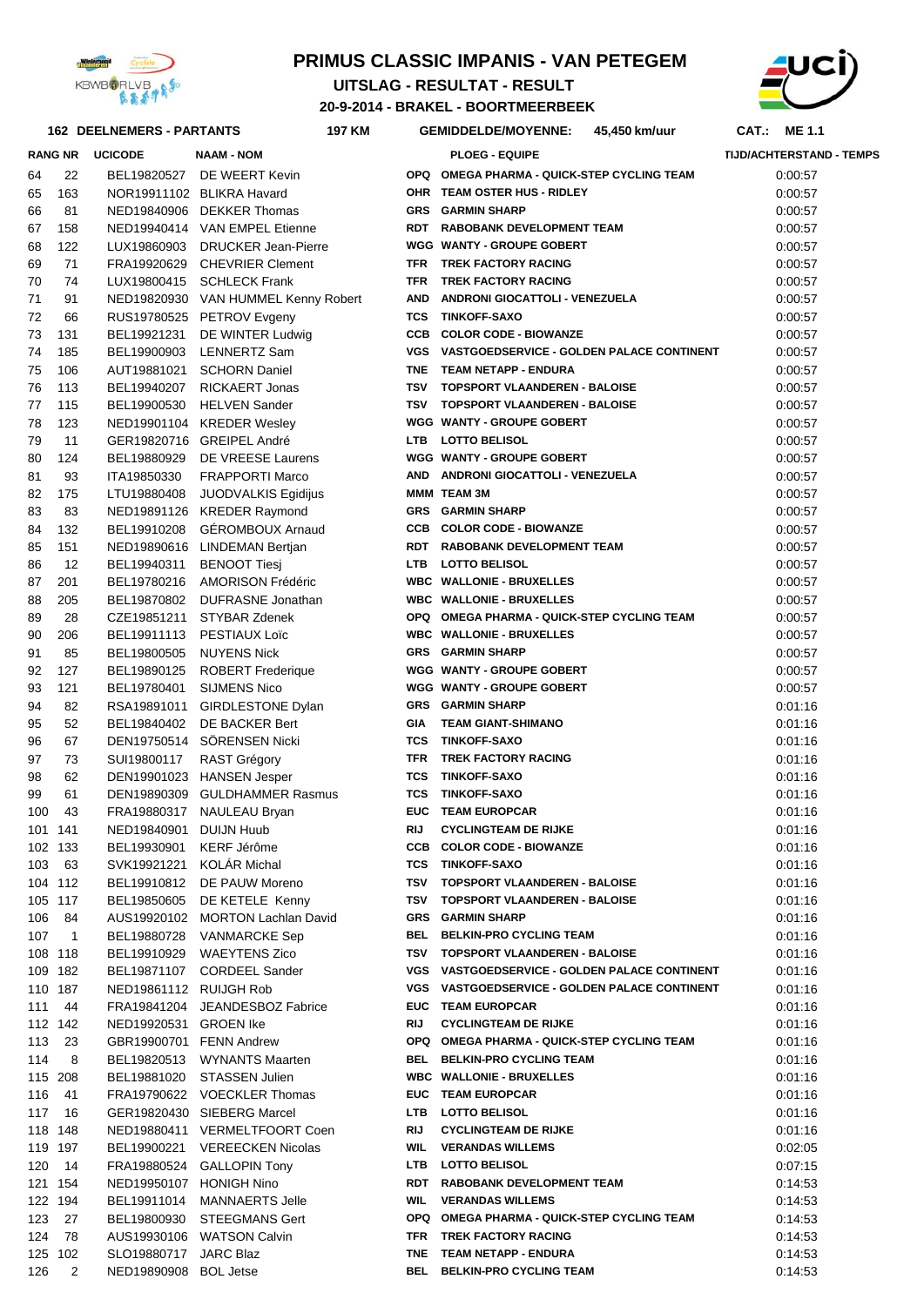

#### **PRIMUS CLASSIC IMPANIS - VAN PETEGEM**

**UITSLAG - RESULTAT - RESULT** 



## **20-9-2014 - BRAKEL - BOORTMEERBEEK**

|          |                   | <b>162 DEELNEMERS - PARTANTS</b> | <b>197 KM</b>                                              |            | <b>GEMIDDELDE/MOYENNE:</b>                                      | 45,450 km/uur | CAT.: ME 1.1                    |  |
|----------|-------------------|----------------------------------|------------------------------------------------------------|------------|-----------------------------------------------------------------|---------------|---------------------------------|--|
|          | <b>RANG NR</b>    | <b>UCICODE</b>                   | <b>NAAM - NOM</b>                                          |            | <b>PLOEG - EQUIPE</b>                                           |               | <b>TIJD/ACHTERSTAND - TEMPS</b> |  |
| 64       | 22                | BEL19820527                      | DE WEERT Kevin                                             |            | OPQ OMEGA PHARMA - QUICK-STEP CYCLING TEAM                      |               | 0:00:57                         |  |
| 65       | 163               |                                  | NOR19911102 BLIKRA Havard                                  |            | OHR TEAM OSTER HUS - RIDLEY                                     |               | 0:00:57                         |  |
| 66       | 81                |                                  | NED19840906 DEKKER Thomas                                  |            | <b>GRS GARMIN SHARP</b>                                         |               | 0:00:57                         |  |
| 67       | 158               |                                  | NED19940414 VAN EMPEL Etienne                              |            | RDT RABOBANK DEVELOPMENT TEAM                                   |               | 0:00:57                         |  |
| 68       | 122               |                                  | LUX19860903 DRUCKER Jean-Pierre                            |            | WGG WANTY - GROUPE GOBERT                                       |               | 0:00:57                         |  |
| 69       | 71                |                                  | FRA19920629 CHEVRIER Clement                               | TFR        | TREK FACTORY RACING                                             |               | 0:00:57                         |  |
| 70       | 74                |                                  | LUX19800415 SCHLECK Frank                                  | TFR        | <b>TREK FACTORY RACING</b>                                      |               | 0:00:57                         |  |
| 71       | 91                |                                  | NED19820930 VAN HUMMEL Kenny Robert                        | <b>AND</b> | ANDRONI GIOCATTOLI - VENEZUELA                                  |               | 0:00:57                         |  |
| 72       | 66                |                                  | RUS19780525 PETROV Evgeny                                  |            | <b>TCS TINKOFF-SAXO</b>                                         |               | 0:00:57                         |  |
| 73       | 131               | BEL19921231                      | DE WINTER Ludwig                                           |            | <b>CCB COLOR CODE - BIOWANZE</b>                                |               | 0:00:57                         |  |
| 74       | 185               | BEL19900903                      | LENNERTZ Sam                                               |            | VGS VASTGOEDSERVICE - GOLDEN PALACE CONTINENT                   |               | 0:00:57                         |  |
| 75       | 106               |                                  | AUT19881021 SCHORN Daniel                                  |            | TNE TEAM NETAPP - ENDURA                                        |               | 0:00:57                         |  |
| 76       | 113               |                                  | BEL19940207 RICKAERT Jonas                                 |            | TSV TOPSPORT VLAANDEREN - BALOISE                               |               | 0:00:57                         |  |
| 77       | 115               | BEL19900530                      | <b>HELVEN Sander</b>                                       |            | TSV TOPSPORT VLAANDEREN - BALOISE                               |               | 0:00:57                         |  |
| 78       | 123               |                                  | NED19901104 KREDER Wesley                                  |            | WGG WANTY - GROUPE GOBERT                                       |               | 0:00:57                         |  |
| 79       | 11                |                                  | GER19820716 GREIPEL André                                  |            | LTB LOTTO BELISOL<br>WGG WANTY - GROUPE GOBERT                  |               | 0:00:57                         |  |
| 80<br>81 | 124<br>93         | BEL19880929<br>ITA19850330       | DE VREESE Laurens<br><b>FRAPPORTI Marco</b>                |            | AND ANDRONI GIOCATTOLI - VENEZUELA                              |               | 0:00:57                         |  |
| 82       | 175               | LTU19880408                      | JUODVALKIS Egidijus                                        |            | MMM TEAM 3M                                                     |               | 0:00:57<br>0:00:57              |  |
| 83       | 83                |                                  | NED19891126 KREDER Raymond                                 |            | <b>GRS GARMIN SHARP</b>                                         |               | 0:00:57                         |  |
| 84       | 132               | BEL19910208                      | <b>GÉROMBOUX Arnaud</b>                                    |            | <b>CCB COLOR CODE - BIOWANZE</b>                                |               | 0:00:57                         |  |
| 85       | 151               |                                  | NED19890616 LINDEMAN Bertjan                               |            | RDT RABOBANK DEVELOPMENT TEAM                                   |               | 0:00:57                         |  |
| 86       | 12                | BEL19940311                      | <b>BENOOT Tiesi</b>                                        |            | LTB LOTTO BELISOL                                               |               | 0:00:57                         |  |
| 87       | 201               |                                  | BEL19780216 AMORISON Frédéric                              |            | <b>WBC WALLONIE - BRUXELLES</b>                                 |               | 0:00:57                         |  |
| 88       | 205               |                                  | BEL19870802 DUFRASNE Jonathan                              |            | <b>WBC WALLONIE - BRUXELLES</b>                                 |               | 0:00:57                         |  |
| 89       | 28                |                                  | CZE19851211 STYBAR Zdenek                                  |            | OPQ OMEGA PHARMA - QUICK-STEP CYCLING TEAM                      |               | 0:00:57                         |  |
| 90       | 206               | BEL19911113                      | PESTIAUX Loïc                                              |            | <b>WBC WALLONIE - BRUXELLES</b>                                 |               | 0:00:57                         |  |
| 91       | 85                | BEL19800505                      | <b>NUYENS Nick</b>                                         |            | <b>GRS GARMIN SHARP</b>                                         |               | 0:00:57                         |  |
| 92       | 127               | BEL19890125                      | <b>ROBERT Frederique</b>                                   |            | WGG WANTY - GROUPE GOBERT                                       |               | 0:00:57                         |  |
| 93       | 121               | BEL19780401                      | <b>SIJMENS Nico</b>                                        |            | WGG WANTY - GROUPE GOBERT                                       |               | 0:00:57                         |  |
| 94       | 82                |                                  | RSA19891011 GIRDLESTONE Dylan                              |            | <b>GRS GARMIN SHARP</b>                                         |               | 0:01:16                         |  |
| 95       | 52                | BEL19840402                      | DE BACKER Bert                                             | GIA        | <b>TEAM GIANT-SHIMANO</b>                                       |               | 0:01:16                         |  |
| 96       | 67                |                                  | DEN19750514 SÖRENSEN Nicki                                 |            | <b>TCS TINKOFF-SAXO</b>                                         |               | 0:01:16                         |  |
| 97       | 73                | SUI19800117                      | <b>RAST Grégory</b>                                        | TFR        | TREK FACTORY RACING                                             |               | 0:01:16                         |  |
| 98       | 62                |                                  | DEN19901023 HANSEN Jesper                                  | TCS        | <b>TINKOFF-SAXO</b>                                             |               | 0:01:16                         |  |
| 99       | 61                |                                  | DEN19890309 GULDHAMMER Rasmus                              | TCS        | <b>TINKOFF-SAXO</b>                                             |               | 0:01:16                         |  |
| 100      | 43                |                                  | FRA19880317 NAULEAU Bryan                                  |            | <b>EUC TEAM EUROPCAR</b>                                        |               | 0:01:16                         |  |
|          | 101 141           | NED19840901 DUIJN Huub           | BEL19930901 KERF Jérôme                                    | RIJ        | <b>CYCLINGTEAM DE RIJKE</b><br><b>CCB COLOR CODE - BIOWANZE</b> |               | 0:01:16                         |  |
|          | 102 133<br>103 63 |                                  | SVK19921221 KOLÁR Michal                                   |            | <b>TCS TINKOFF-SAXO</b>                                         |               | 0:01:16<br>0:01:16              |  |
|          | 104 112           |                                  | BEL19910812 DE PAUW Moreno                                 |            | TSV TOPSPORT VLAANDEREN - BALOISE                               |               | 0:01:16                         |  |
|          | 105 117           |                                  | BEL19850605 DE KETELE Kenny                                |            | TSV TOPSPORT VLAANDEREN - BALOISE                               |               | 0:01:16                         |  |
|          | 106 84            |                                  | AUS19920102 MORTON Lachlan David                           |            | <b>GRS</b> GARMIN SHARP                                         |               | 0:01:16                         |  |
|          | 107 1             |                                  | BEL19880728 VANMARCKE Sep                                  |            | BEL BELKIN-PRO CYCLING TEAM                                     |               | 0:01:16                         |  |
|          | 108 118           |                                  | BEL19910929 WAEYTENS Zico                                  |            | TSV TOPSPORT VLAANDEREN - BALOISE                               |               | 0:01:16                         |  |
|          | 109 182           |                                  | BEL19871107 CORDEEL Sander                                 |            | VGS VASTGOEDSERVICE - GOLDEN PALACE CONTINENT                   |               | 0:01:16                         |  |
|          | 110 187           | NED19861112 RUIJGH Rob           |                                                            |            | VGS VASTGOEDSERVICE - GOLDEN PALACE CONTINENT                   |               | 0:01:16                         |  |
|          | 111 44            |                                  | FRA19841204 JEANDESBOZ Fabrice                             |            | EUC TEAM EUROPCAR                                               |               | 0:01:16                         |  |
|          | 112 142           | NED19920531 GROEN Ike            |                                                            | RIJ        | <b>CYCLINGTEAM DE RIJKE</b>                                     |               | 0:01:16                         |  |
|          | 113 23            |                                  | GBR19900701 FENN Andrew                                    |            | OPQ OMEGA PHARMA - QUICK-STEP CYCLING TEAM                      |               | 0:01:16                         |  |
|          | 114 8             |                                  | BEL19820513 WYNANTS Maarten                                |            | BEL BELKIN-PRO CYCLING TEAM                                     |               | 0:01:16                         |  |
|          | 115 208           |                                  | BEL19881020 STASSEN Julien                                 |            | <b>WBC WALLONIE - BRUXELLES</b>                                 |               | 0:01:16                         |  |
|          | 116 41            |                                  | FRA19790622 VOECKLER Thomas                                |            | EUC TEAM EUROPCAR                                               |               | 0:01:16                         |  |
|          | 117 16            |                                  | GER19820430 SIEBERG Marcel                                 |            | LTB LOTTO BELISOL                                               |               | 0:01:16                         |  |
|          | 118 148           |                                  | NED19880411 VERMELTFOORT Coen                              | RIJ        | <b>CYCLINGTEAM DE RIJKE</b>                                     |               | 0:01:16                         |  |
|          | 119 197           |                                  | BEL19900221 VEREECKEN Nicolas<br>FRA19880524 GALLOPIN Tony |            | <b>WIL VERANDAS WILLEMS</b><br>LTB LOTTO BELISOL                |               | 0:02:05                         |  |
|          | 120 14<br>121 154 | NED19950107 HONIGH Nino          |                                                            |            | RDT RABOBANK DEVELOPMENT TEAM                                   |               | 0:07:15<br>0:14:53              |  |
|          | 122 194           |                                  | BEL19911014 MANNAERTS Jelle                                |            | <b>WIL VERANDAS WILLEMS</b>                                     |               | 0:14:53                         |  |
|          | 123 27            |                                  | BEL19800930 STEEGMANS Gert                                 |            | OPQ OMEGA PHARMA - QUICK-STEP CYCLING TEAM                      |               | 0:14:53                         |  |
|          | 124 78            |                                  | AUS19930106 WATSON Calvin                                  |            | TFR TREK FACTORY RACING                                         |               | 0:14:53                         |  |
|          | 125 102           | SLO19880717 JARC Blaz            |                                                            |            | TNE TEAM NETAPP - ENDURA                                        |               | 0:14:53                         |  |

126 BOL Jetse 2 NED19890908 **BEL BELKIN-PRO CYCLING TEAM** 0:14:53